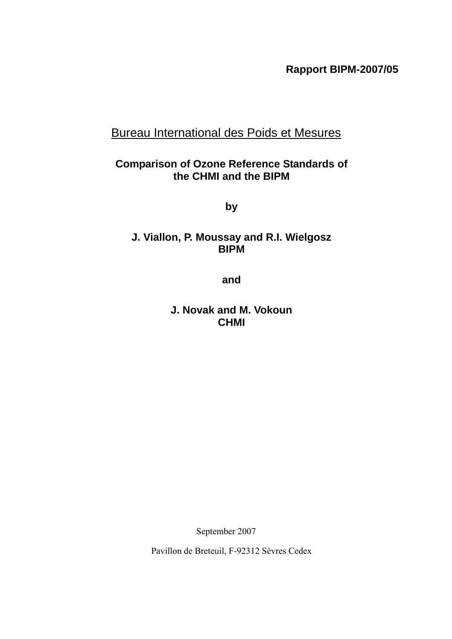**Rapport BIPM-2007/05** 

# Bureau International des Poids et Mesures

## **Comparison of Ozone Reference Standards of the CHMI and the BIPM**

**by** 

## **J. Viallon, P. Moussay and R.I. Wielgosz BIPM**

**and** 

**J. Novak and M. Vokoun CHMI** 

September 2007

Pavillon de Breteuil, F-92312 Sèvres Cedex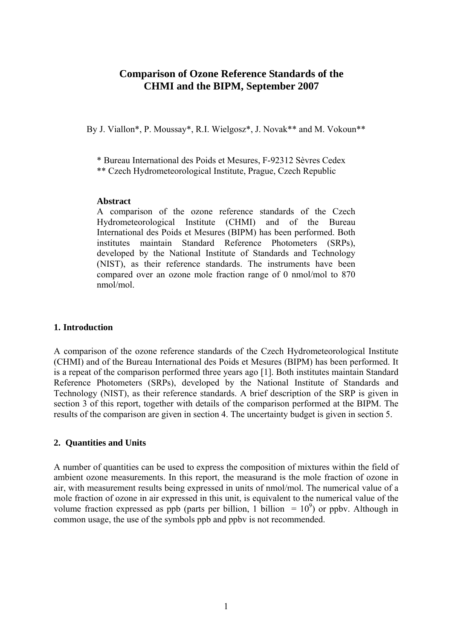### **Comparison of Ozone Reference Standards of the CHMI and the BIPM, September 2007**

By J. Viallon\*, P. Moussay\*, R.I. Wielgosz\*, J. Novak\*\* and M. Vokoun\*\*

\* Bureau International des Poids et Mesures, F-92312 Sèvres Cedex

\*\* Czech Hydrometeorological Institute, Prague, Czech Republic

#### **Abstract**

A comparison of the ozone reference standards of the Czech Hydrometeorological Institute (CHMI) and of the Bureau International des Poids et Mesures (BIPM) has been performed. Both institutes maintain Standard Reference Photometers (SRPs), developed by the National Institute of Standards and Technology (NIST), as their reference standards. The instruments have been compared over an ozone mole fraction range of 0 nmol/mol to 870 nmol/mol.

### **1. Introduction**

A comparison of the ozone reference standards of the Czech Hydrometeorological Institute (CHMI) and of the Bureau International des Poids et Mesures (BIPM) has been performed. It is a repeat of the comparison performed three years ago [1]. Both institutes maintain Standard Reference Photometers (SRPs), developed by the National Institute of Standards and Technology (NIST), as their reference standards. A brief description of the SRP is given in section 3 of this report, together with details of the comparison performed at the BIPM. The results of the comparison are given in section [4](#page-5-0). The uncertainty budget is given in section [5.](#page-8-0)

### **2. Quantities and Units**

A number of quantities can be used to express the composition of mixtures within the field of ambient ozone measurements. In this report, the measurand is the mole fraction of ozone in air, with measurement results being expressed in units of nmol/mol. The numerical value of a mole fraction of ozone in air expressed in this unit, is equivalent to the numerical value of the volume fraction expressed as ppb (parts per billion, 1 billion  $= 10^9$ ) or ppbv. Although in common usage, the use of the symbols ppb and ppbv is not recommended.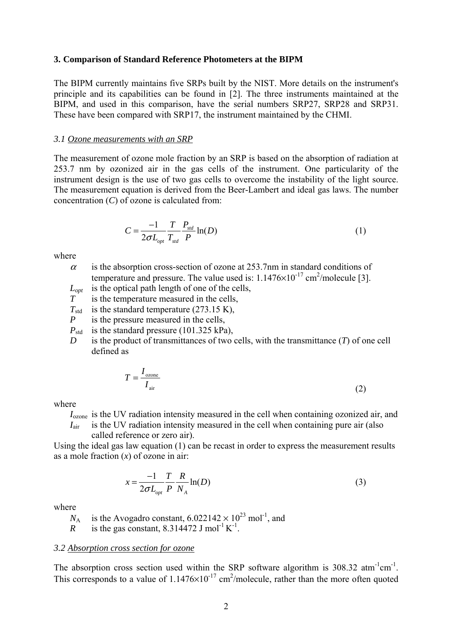#### **3. Comparison of Standard Reference Photometers at the BIPM**

The BIPM currently maintains five SRPs built by the NIST. More details on the instrument's principle and its capabilities can be found in [2]. The three instruments maintained at the BIPM, and used in this comparison, have the serial numbers SRP27, SRP28 and SRP31. These have been compared with SRP17, the instrument maintained by the CHMI.

#### *3.1 Ozone measurements with an SRP*

The measurement of ozone mole fraction by an SRP is based on the absorption of radiation at 253.7 nm by ozonized air in the gas cells of the instrument. One particularity of the instrument design is the use of two gas cells to overcome the instability of the light source. The measurement equation is derived from the Beer-Lambert and ideal gas laws. The number concentration (*C*) of ozone is calculated from:

$$
C = \frac{-1}{2\sigma L_{opt}} \frac{T}{T_{std}} \frac{P_{std}}{P} \ln(D) \tag{1}
$$

where

 $\alpha$  is the absorption cross-section of ozone at 253.7nm in standard conditions of temperature and pressure. The value used is:  $1.1476 \times 10^{-17}$  cm<sup>2</sup>/molecule [3].

*Lopt* is the optical path length of one of the cells,

- *T* is the temperature measured in the cells,
- $T_{std}$  is the standard temperature (273.15 K),
- *P* is the pressure measured in the cells,
- *P*<sub>std</sub> is the standard pressure (101.325 kPa),
- *D* is the product of transmittances of two cells, with the transmittance (*T*) of one cell defined as

$$
T = \frac{I_{\text{ozone}}}{I_{\text{air}}} \tag{2}
$$

where

*I*ozone is the UV radiation intensity measured in the cell when containing ozonized air, and

 $I_{\text{air}}$  is the UV radiation intensity measured in the cell when containing pure air (also called reference or zero air).

Using the ideal gas law equation (1) can be recast in order to express the measurement results as a mole fraction (*x*) of ozone in air:

$$
x = \frac{-1}{2\sigma L_{opt}} \frac{T}{P} \frac{R}{N_A} \ln(D) \tag{3}
$$

where

 $N_A$  is the Avogadro constant,  $6.022142 \times 10^{23}$  mol<sup>-1</sup>, and

*R* is the gas constant, 8.314472 J mol<sup>-1</sup> K<sup>-1</sup>.

#### *3.2 Absorption cross section for ozone*

The absorption cross section used within the SRP software algorithm is  $308.32 \text{ atm}^{-1} \text{cm}^{-1}$ . This corresponds to a value of  $1.1476 \times 10^{-17}$  cm<sup>2</sup>/molecule, rather than the more often quoted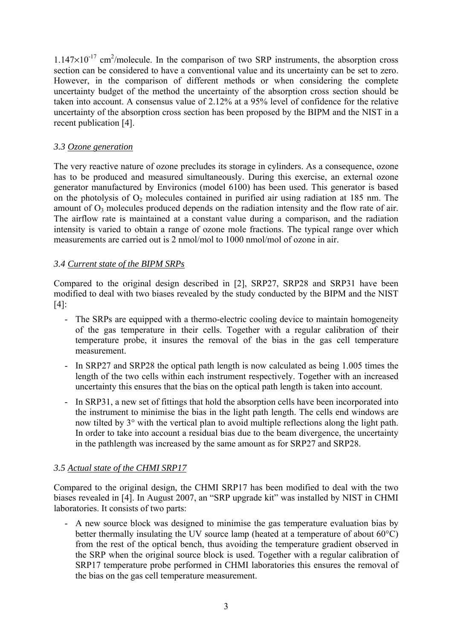$1.147 \times 10^{-17}$  cm<sup>2</sup>/molecule. In the comparison of two SRP instruments, the absorption cross section can be considered to have a conventional value and its uncertainty can be set to zero. However, in the comparison of different methods or when considering the complete uncertainty budget of the method the uncertainty of the absorption cross section should be taken into account. A consensus value of 2.12% at a 95% level of confidence for the relative uncertainty of the absorption cross section has been proposed by the BIPM and the NIST in a recent publication [4].

### *3.3 Ozone generation*

The very reactive nature of ozone precludes its storage in cylinders. As a consequence, ozone has to be produced and measured simultaneously. During this exercise, an external ozone generator manufactured by Environics (model 6100) has been used. This generator is based on the photolysis of  $O_2$  molecules contained in purified air using radiation at 185 nm. The amount of  $O_3$  molecules produced depends on the radiation intensity and the flow rate of air. The airflow rate is maintained at a constant value during a comparison, and the radiation intensity is varied to obtain a range of ozone mole fractions. The typical range over which measurements are carried out is 2 nmol/mol to 1000 nmol/mol of ozone in air.

### *3.4 Current state of the BIPM SRPs*

Compared to the original design described in [2], SRP27, SRP28 and SRP31 have been modified to deal with two biases revealed by the study conducted by the BIPM and the NIST [4]:

- The SRPs are equipped with a thermo-electric cooling device to maintain homogeneity of the gas temperature in their cells. Together with a regular calibration of their temperature probe, it insures the removal of the bias in the gas cell temperature measurement.
- In SRP27 and SRP28 the optical path length is now calculated as being 1.005 times the length of the two cells within each instrument respectively. Together with an increased uncertainty this ensures that the bias on the optical path length is taken into account.
- In SRP31, a new set of fittings that hold the absorption cells have been incorporated into the instrument to minimise the bias in the light path length. The cells end windows are now tilted by 3° with the vertical plan to avoid multiple reflections along the light path. In order to take into account a residual bias due to the beam divergence, the uncertainty in the pathlength was increased by the same amount as for SRP27 and SRP28.

### *3.5 Actual state of the CHMI SRP17*

Compared to the original design, the CHMI SRP17 has been modified to deal with the two biases revealed in [4]. In August 2007, an "SRP upgrade kit" was installed by NIST in CHMI laboratories. It consists of two parts:

- A new source block was designed to minimise the gas temperature evaluation bias by better thermally insulating the UV source lamp (heated at a temperature of about 60°C) from the rest of the optical bench, thus avoiding the temperature gradient observed in the SRP when the original source block is used. Together with a regular calibration of SRP17 temperature probe performed in CHMI laboratories this ensures the removal of the bias on the gas cell temperature measurement.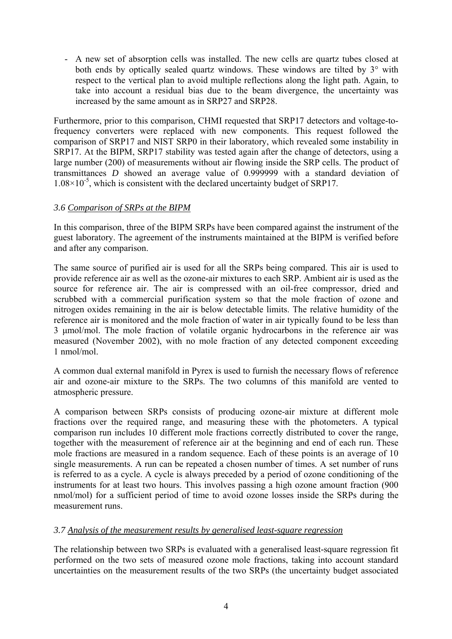- A new set of absorption cells was installed. The new cells are quartz tubes closed at both ends by optically sealed quartz windows. These windows are tilted by  $3^{\circ}$  with respect to the vertical plan to avoid multiple reflections along the light path. Again, to take into account a residual bias due to the beam divergence, the uncertainty was increased by the same amount as in SRP27 and SRP28.

Furthermore, prior to this comparison, CHMI requested that SRP17 detectors and voltage-tofrequency converters were replaced with new components. This request followed the comparison of SRP17 and NIST SRP0 in their laboratory, which revealed some instability in SRP17. At the BIPM, SRP17 stability was tested again after the change of detectors, using a large number (200) of measurements without air flowing inside the SRP cells. The product of transmittances *D* showed an average value of 0.999999 with a standard deviation of  $1.08\times10^{-5}$ , which is consistent with the declared uncertainty budget of SRP17.

### *3.6 Comparison of SRPs at the BIPM*

In this comparison, three of the BIPM SRPs have been compared against the instrument of the guest laboratory. The agreement of the instruments maintained at the BIPM is verified before and after any comparison.

The same source of purified air is used for all the SRPs being compared. This air is used to provide reference air as well as the ozone-air mixtures to each SRP. Ambient air is used as the source for reference air. The air is compressed with an oil-free compressor, dried and scrubbed with a commercial purification system so that the mole fraction of ozone and nitrogen oxides remaining in the air is below detectable limits. The relative humidity of the reference air is monitored and the mole fraction of water in air typically found to be less than 3 μmol/mol. The mole fraction of volatile organic hydrocarbons in the reference air was measured (November 2002), with no mole fraction of any detected component exceeding 1 nmol/mol.

A common dual external manifold in Pyrex is used to furnish the necessary flows of reference air and ozone-air mixture to the SRPs. The two columns of this manifold are vented to atmospheric pressure.

A comparison between SRPs consists of producing ozone-air mixture at different mole fractions over the required range, and measuring these with the photometers. A typical comparison run includes 10 different mole fractions correctly distributed to cover the range, together with the measurement of reference air at the beginning and end of each run. These mole fractions are measured in a random sequence. Each of these points is an average of 10 single measurements. A run can be repeated a chosen number of times. A set number of runs is referred to as a cycle. A cycle is always preceded by a period of ozone conditioning of the instruments for at least two hours. This involves passing a high ozone amount fraction (900 nmol/mol) for a sufficient period of time to avoid ozone losses inside the SRPs during the measurement runs.

### *3.7 Analysis of the measurement results by generalised least-square regression*

The relationship between two SRPs is evaluated with a generalised least-square regression fit performed on the two sets of measured ozone mole fractions, taking into account standard uncertainties on the measurement results of the two SRPs (the uncertainty budget associated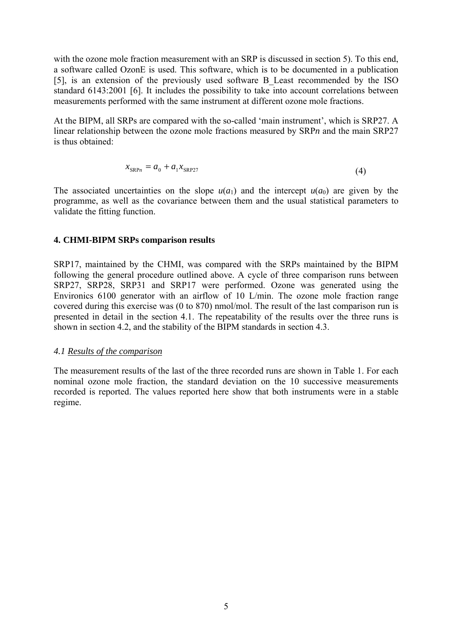with the ozone mole fraction measurement with an SRP is discussed in section [5](#page-8-0)). To this end, a software called OzonE is used. This software, which is to be documented in a publication [5], is an extension of the previously used software B\_Least recommended by the ISO standard 6143:2001 [6]. It includes the possibility to take into account correlations between measurements performed with the same instrument at different ozone mole fractions.

At the BIPM, all SRPs are compared with the so-called 'main instrument', which is SRP27. A linear relationship between the ozone mole fractions measured by SRP*n* and the main SRP27 is thus obtained:

$$
x_{\text{SRP}_n} = a_0 + a_1 x_{\text{SRP27}}
$$
 (4)

The associated uncertainties on the slope  $u(a_1)$  and the intercept  $u(a_0)$  are given by the programme, as well as the covariance between them and the usual statistical parameters to validate the fitting function.

### <span id="page-5-0"></span>**4. CHMI-BIPM SRPs comparison results**

SRP17, maintained by the CHMI, was compared with the SRPs maintained by the BIPM following the general procedure outlined above. A cycle of three comparison runs between SRP27, SRP28, SRP31 and SRP17 were performed. Ozone was generated using the Environics 6100 generator with an airflow of 10 L/min. The ozone mole fraction range covered during this exercise was (0 to 870) nmol/mol. The result of the last comparison run is presented in detail in the section [4.1.](#page-5-1) The repeatability of the results over the three runs is shown in section [4.2](#page-7-0), and the stability of the BIPM standards in section 4.3.

### <span id="page-5-1"></span>*4.1 Results of the comparison*

The measurement results of the last of the three recorded runs are shown in [Table 1](#page-6-0). For each nominal ozone mole fraction, the standard deviation on the 10 successive measurements recorded is reported. The values reported here show that both instruments were in a stable regime.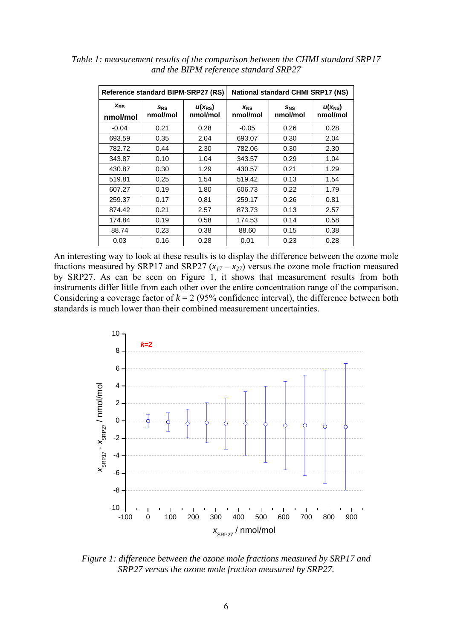| Reference standard BIPM-SRP27 (RS) |                        |                         | <b>National standard CHMI SRP17 (NS)</b> |                 |                         |  |
|------------------------------------|------------------------|-------------------------|------------------------------------------|-----------------|-------------------------|--|
| <b>XRS</b><br>nmol/mol             | <b>SRS</b><br>nmol/mol | $u(x_{RS})$<br>nmol/mol | <b>X<sub>NS</sub></b><br>nmol/mol        | SNS<br>nmol/mol | $u(x_{NS})$<br>nmol/mol |  |
| $-0.04$                            | 0.21                   | 0.28                    | $-0.05$                                  | 0.26            | 0.28                    |  |
| 693.59                             | 0.35                   | 2.04                    | 693.07                                   | 0.30            | 2.04                    |  |
| 782.72                             | 0.44                   | 2.30                    | 782.06                                   | 0.30            | 2.30                    |  |
| 343.87                             | 0.10                   | 1.04                    | 343.57                                   | 0.29            | 1.04                    |  |
| 430.87                             | 0.30                   | 1.29                    | 430.57                                   | 0.21            | 1.29                    |  |
| 519.81                             | 0.25                   | 1.54                    | 519.42                                   | 0.13            | 1.54                    |  |
| 607.27                             | 0.19                   | 1.80                    | 606.73                                   | 0.22            | 1.79                    |  |
| 259.37                             | 0.17                   | 0.81                    | 259.17                                   | 0.26            | 0.81                    |  |
| 874.42                             | 0.21                   | 2.57                    | 873.73                                   | 0.13            | 2.57                    |  |
| 174.84                             | 0.19                   | 0.58                    | 174.53                                   | 0.14            | 0.58                    |  |
| 88.74                              | 0.23                   | 0.38                    | 88.60                                    | 0.15            | 0.38                    |  |
| 0.03                               | 0.16                   | 0.28                    | 0.01                                     | 0.23            | 0.28                    |  |

<span id="page-6-0"></span>*Table 1: measurement results of the comparison between the CHMI standard SRP17 and the BIPM reference standard SRP27* 

An interesting way to look at these results is to display the difference between the ozone mole fractions measured by SRP17 and SRP27  $(x_{17} - x_{27})$  versus the ozone mole fraction measured by SRP27. As can be seen on [Figure 1](#page-6-1), it shows that measurement results from both instruments differ little from each other over the entire concentration range of the comparison. Considering a coverage factor of  $k = 2$  (95% confidence interval), the difference between both standards is much lower than their combined measurement uncertainties.



<span id="page-6-1"></span>*Figure 1: difference between the ozone mole fractions measured by SRP17 and SRP27 versus the ozone mole fraction measured by SRP27.*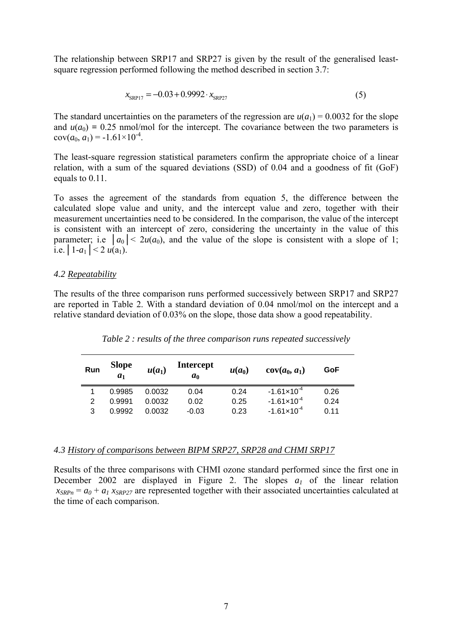The relationship between SRP17 and SRP27 is given by the result of the generalised leastsquare regression performed following the method described in section 3.7:

$$
x_{SRPI7} = -0.03 + 0.9992 \cdot x_{SRP27} \tag{5}
$$

The standard uncertainties on the parameters of the regression are  $u(a_1) = 0.0032$  for the slope and  $u(a_0) = 0.25$  nmol/mol for the intercept. The covariance between the two parameters is  $cov(a_0, a_1) = -1.61 \times 10^{-4}$ .

The least-square regression statistical parameters confirm the appropriate choice of a linear relation, with a sum of the squared deviations (SSD) of 0.04 and a goodness of fit (GoF) equals to 0.11.

To asses the agreement of the standards from equation 5, the difference between the calculated slope value and unity, and the intercept value and zero, together with their measurement uncertainties need to be considered. In the comparison, the value of the intercept is consistent with an intercept of zero, considering the uncertainty in the value of this parameter; i.e  $|a_0| < 2u(a_0)$ , and the value of the slope is consistent with a slope of 1; i.e.  $|1-a_1| < 2 u(a_1)$ .

### <span id="page-7-0"></span>*4.2 Repeatability*

<span id="page-7-1"></span>The results of the three comparison runs performed successively between SRP17 and SRP27 are reported in [Table 2.](#page-7-1) With a standard deviation of 0.04 nmol/mol on the intercept and a relative standard deviation of 0.03% on the slope, those data show a good repeatability.

| Run | <b>Slope</b><br>a <sub>1</sub> | $u(a_1)$ | <b>Intercept</b><br>a <sub>0</sub> | $u(a_0)$ | $cov(a_0, a_1)$        | GoF  |
|-----|--------------------------------|----------|------------------------------------|----------|------------------------|------|
|     | 0.9985                         | 0.0032   | 0.04                               | 0.24     | $-1.61 \times 10^{-4}$ | 0.26 |
| 2   | 0.9991                         | 0.0032   | 0.02                               | 0.25     | $-1.61 \times 10^{-4}$ | 0.24 |
| 3   | 0.9992                         | 0.0032   | $-0.03$                            | 0.23     | $-1.61 \times 10^{-4}$ | 0.11 |

*Table 2 : results of the three comparison runs repeated successively* 

#### *4.3 History of comparisons between BIPM SRP27, SRP28 and CHMI SRP17*

Results of the three comparisons with CHMI ozone standard performed since the first one in December 2002 are displayed in [Figure 2](#page-8-1). The slopes  $a_1$  of the linear relation  $x_{SRPn} = a_0 + a_1 x_{SRP27}$  are represented together with their associated uncertainties calculated at the time of each comparison.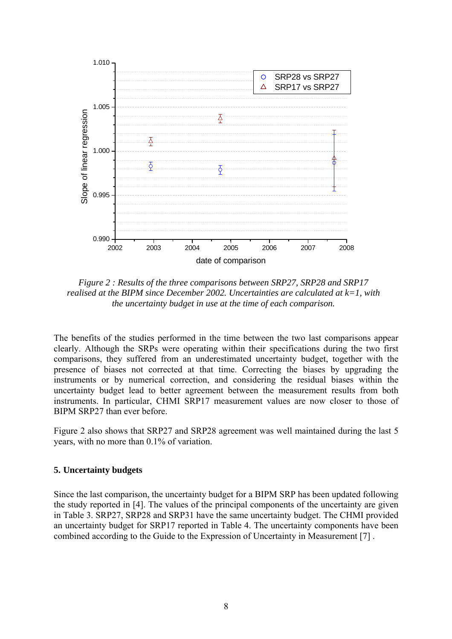

<span id="page-8-1"></span>*Figure 2 : Results of the three comparisons between SRP27, SRP28 and SRP17 realised at the BIPM since December 2002. Uncertainties are calculated at k=1, with the uncertainty budget in use at the time of each comparison.* 

The benefits of the studies performed in the time between the two last comparisons appear clearly. Although the SRPs were operating within their specifications during the two first comparisons, they suffered from an underestimated uncertainty budget, together with the presence of biases not corrected at that time. Correcting the biases by upgrading the instruments or by numerical correction, and considering the residual biases within the uncertainty budget lead to better agreement between the measurement results from both instruments. In particular, CHMI SRP17 measurement values are now closer to those of BIPM SRP27 than ever before.

[Figure 2](#page-8-1) also shows that SRP27 and SRP28 agreement was well maintained during the last 5 years, with no more than 0.1% of variation.

### <span id="page-8-0"></span>**5. Uncertainty budgets**

Since the last comparison, the uncertainty budget for a BIPM SRP has been updated following the study reported in [4]. The values of the principal components of the uncertainty are given in [Table 3.](#page-9-0) SRP27, SRP28 and SRP31 have the same uncertainty budget. The CHMI provided an uncertainty budget for SRP17 reported in [Table 4.](#page-9-1) The uncertainty components have been combined according to the Guide to the Expression of Uncertainty in Measurement [7] .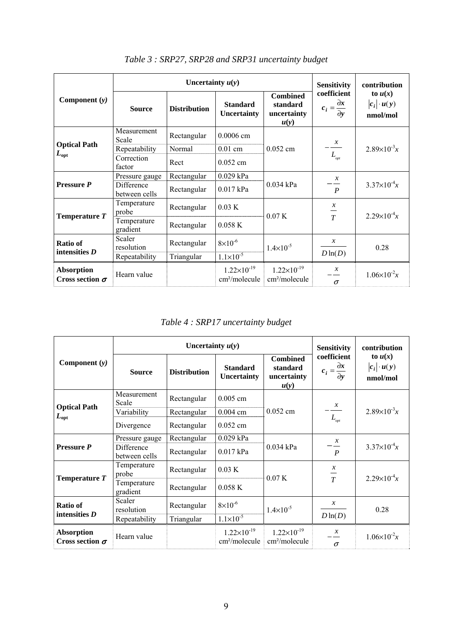<span id="page-9-0"></span>

| Component $(y)$                             |                             | Uncertainty $u(y)$  | <b>Sensitivity</b>                                | contribution                                       |                                                                      |                                             |
|---------------------------------------------|-----------------------------|---------------------|---------------------------------------------------|----------------------------------------------------|----------------------------------------------------------------------|---------------------------------------------|
|                                             | <b>Source</b>               | <b>Distribution</b> | <b>Standard</b><br><b>Uncertainty</b>             | <b>Combined</b><br>standard<br>uncertainty<br>u(y) | coefficient<br>$c_i = \frac{\partial x}{\partial y}$                 | to $u(x)$<br>$ c_i  \cdot u(y)$<br>nmol/mol |
|                                             | Measurement<br>Scale        | Rectangular         | $0.0006$ cm                                       | $0.052$ cm                                         | $\frac{x}{1}$<br>$L_{\scriptscriptstyle \!{\scriptscriptstyle opt}}$ | $2.89\times10^{-3}x$                        |
| <b>Optical Path</b>                         | Repeatability               | Normal              | $0.01$ cm                                         |                                                    |                                                                      |                                             |
| $L_{\mathrm{opt}}$                          | Correction<br>factor        | Rect                | $0.052$ cm                                        |                                                    |                                                                      |                                             |
| <b>Pressure P</b>                           | Pressure gauge              | Rectangular         | $0.029$ kPa                                       |                                                    | $\mathcal{X}$<br>$\boldsymbol{P}$                                    | $3.37\times10^{-4}x$                        |
|                                             | Difference<br>between cells | Rectangular         | 0.017 kPa                                         | 0.034 kPa                                          |                                                                      |                                             |
| Temperature T                               | Temperature<br>probe        | Rectangular         | 0.03 K                                            | 0.07K                                              | $\mathcal{X}$<br>$\frac{1}{T}$                                       | $2.29\times10^{-4}x$                        |
|                                             | Temperature<br>gradient     | Rectangular         | 0.058K                                            |                                                    |                                                                      |                                             |
| <b>Ratio of</b><br>intensities $D$          | Scaler<br>resolution        | Rectangular         | $8\times10^{-6}$                                  | $1.4 \times 10^{-5}$                               | $\mathcal{X}$                                                        | 0.28                                        |
|                                             | Repeatability               | Triangular          | $1.1 \times 10^{-5}$                              |                                                    | $D \ln(D)$                                                           |                                             |
| <b>Absorption</b><br>Cross section $\sigma$ | Hearn value                 |                     | $1.22\times10^{-19}$<br>cm <sup>2</sup> /molecule | $1.22\times10^{-19}$<br>cm <sup>2</sup> /molecule  | $\mathcal{X}$<br>$\sigma$                                            | $1.06 \times 10^{-2}x$                      |

*Table 3 : SRP27, SRP28 and SRP31 uncertainty budget* 

*Table 4 : SRP17 uncertainty budget* 

<span id="page-9-1"></span>

| Component $(y)$                             |                             | Uncertainty $u(y)$  | <b>Sensitivity</b>                                | contribution                                        |                                                      |                                             |
|---------------------------------------------|-----------------------------|---------------------|---------------------------------------------------|-----------------------------------------------------|------------------------------------------------------|---------------------------------------------|
|                                             | <b>Source</b>               | <b>Distribution</b> | <b>Standard</b><br><b>Uncertainty</b>             | <b>Combined</b><br>standard<br>uncertainty<br>u(y)  | coefficient<br>$c_i = \frac{\partial x}{\partial y}$ | to $u(x)$<br>$ c_i  \cdot u(y)$<br>nmol/mol |
| <b>Optical Path</b><br>$L_{opt}$            | Measurement<br>Scale        | Rectangular         | $0.005$ cm                                        | $0.052$ cm                                          |                                                      |                                             |
|                                             | Variability                 | Rectangular         | $0.004$ cm                                        |                                                     | $\frac{x}{1}$<br>$L_{_{opt}}$                        | $2.89\times10^{-3}x$                        |
|                                             | Divergence                  | Rectangular         | $0.052$ cm                                        |                                                     |                                                      |                                             |
| Pressure P                                  | Pressure gauge              | Rectangular         | 0.029 kPa                                         |                                                     | $\mathcal{X}$                                        |                                             |
|                                             | Difference<br>between cells | Rectangular         | $0.017$ kPa                                       | 0.034 kPa                                           | $\boldsymbol{P}$                                     | $3.37 \times 10^{-4} x$                     |
| Temperature T                               | Temperature<br>probe        | Rectangular         | 0.03 K                                            | 0.07K                                               | $\boldsymbol{\chi}$                                  | $2.29\times10^{-4}x$                        |
|                                             | Temperature<br>gradient     | Rectangular         | 0.058K                                            |                                                     | $\overline{T}$                                       |                                             |
| Ratio of<br>intensities $D$                 | Scaler<br>resolution        | Rectangular         | $8\times10^{-6}$                                  | $1.4 \times 10^{-5}$                                | $\mathcal{X}$                                        | 0.28                                        |
|                                             | Repeatability               | Triangular          | $1.1 \times 10^{-5}$                              |                                                     | $D \ln(D)$                                           |                                             |
| <b>Absorption</b><br>Cross section $\sigma$ | Hearn value                 |                     | $1.22\times10^{-19}$<br>cm <sup>2</sup> /molecule | $1.22 \times 10^{-19}$<br>cm <sup>2</sup> /molecule | $\mathcal{X}$<br>$\sigma$                            | $1.06\times10^{-2}x$                        |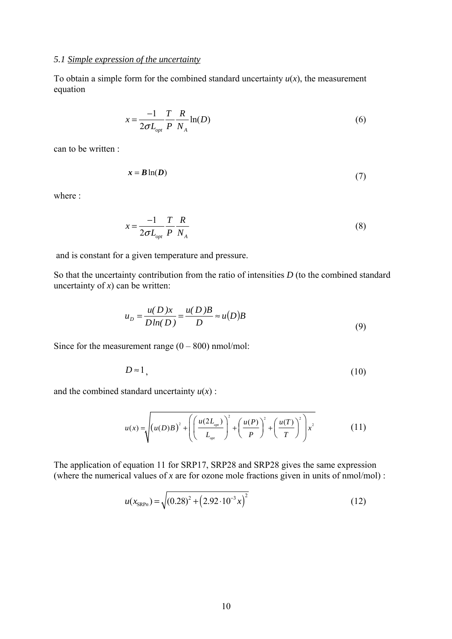### *5.1 Simple expression of the uncertainty*

To obtain a simple form for the combined standard uncertainty  $u(x)$ , the measurement equation

$$
x = \frac{-1}{2\sigma L_{opt}} \frac{T}{P} \frac{R}{N_A} \ln(D) \tag{6}
$$

can to be written :

$$
x = B \ln(D) \tag{7}
$$

where :

$$
x = \frac{-1}{2\sigma L_{opt}} \frac{T}{P} \frac{R}{N_A} \tag{8}
$$

and is constant for a given temperature and pressure.

So that the uncertainty contribution from the ratio of intensities *D* (to the combined standard uncertainty of  $x$ ) can be written:

$$
u_D = \frac{u(D)x}{D\ln(D)} = \frac{u(D)B}{D} \approx u(D)B
$$
\n(9)

Since for the measurement range  $(0 - 800)$  nmol/mol:

$$
D \approx 1,\tag{10}
$$

and the combined standard uncertainty  $u(x)$ :

$$
u(x) = \sqrt{\left(u(D)B\right)^2 + \left(\left(\frac{u(2L_{opt})}{L_{opt}}\right)^2 + \left(\frac{u(P)}{P}\right)^2 + \left(\frac{u(T)}{T}\right)^2\right)x^2}
$$
(11)

The application of equation 11 for SRP17, SRP28 and SRP28 gives the same expression (where the numerical values of *x* are for ozone mole fractions given in units of nmol/mol) :

$$
u(x_{\text{SRP}n}) = \sqrt{(0.28)^2 + (2.92 \cdot 10^{-3} x)^2}
$$
 (12)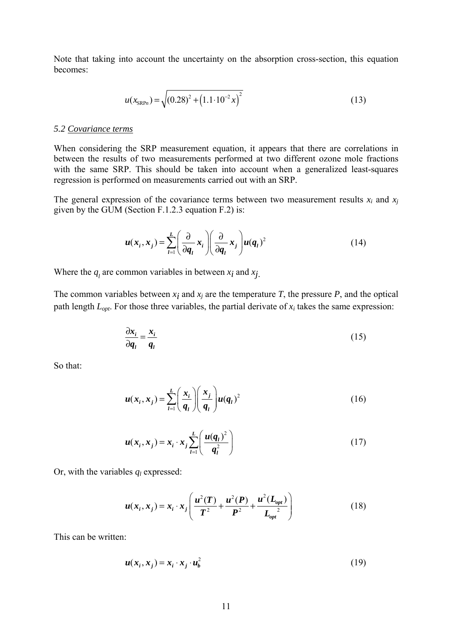Note that taking into account the uncertainty on the absorption cross-section, this equation becomes:

$$
u(x_{\text{SRP}_n}) = \sqrt{(0.28)^2 + (1.1 \cdot 10^{-2} x)^2}
$$
 (13)

### *5.2 Covariance terms*

When considering the SRP measurement equation, it appears that there are correlations in between the results of two measurements performed at two different ozone mole fractions with the same SRP. This should be taken into account when a generalized least-squares regression is performed on measurements carried out with an SRP.

The general expression of the covariance terms between two measurement results  $x_i$  and  $x_j$ given by the GUM (Section F.1.2.3 equation F.2) is:

$$
u(x_i, x_j) = \sum_{l=1}^{L} \left( \frac{\partial}{\partial q_l} x_i \right) \left( \frac{\partial}{\partial q_l} x_j \right) u(q_l)^2
$$
 (14)

Where the  $q_i$  are common variables in between  $x_i$  and  $x_j$ .

The common variables between  $x_i$  and  $x_j$  are the temperature  $T$ , the pressure  $P$ , and the optical path length  $L_{opt}$ . For those three variables, the partial derivate of  $x_i$  takes the same expression:

$$
\frac{\partial x_i}{\partial q_i} = \frac{x_i}{q_i} \tag{15}
$$

So that:

$$
u(x_i, x_j) = \sum_{l=1}^{L} \left(\frac{x_i}{q_l}\right) \left(\frac{x_j}{q_l}\right) u(q_l)^2
$$
 (16)

$$
u(x_i, x_j) = x_i \cdot x_j \sum_{l=1}^{L} \left( \frac{u(q_l)^2}{q_l^2} \right)
$$
 (17)

Or, with the variables  $q_l$  expressed:

$$
u(x_i, x_j) = x_i \cdot x_j \left( \frac{u^2(T)}{T^2} + \frac{u^2(P)}{P^2} + \frac{u^2(L_{opt})}{L_{opt}} \right)
$$
 (18)

This can be written:

$$
u(x_i, x_j) = x_i \cdot x_j \cdot u_b^2 \tag{19}
$$